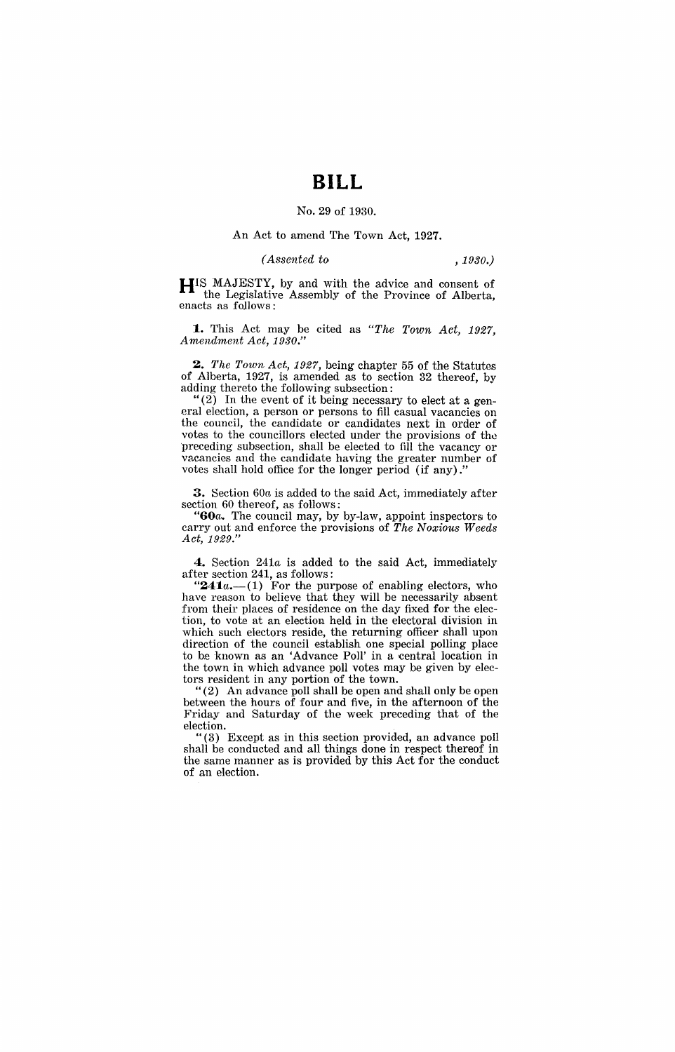# **BILL**

## No. 29 of 1930.

## An Act to amend The Town Act, 1927.

## *(Assented to , 1930.)*

**HIS** MAJESTY, by and with the advice and consent of the Legislative Assembly of the Province of Alberta, enacts as follows:

**1.** This Act may be cited as *"The Town Act, 1927, Amendment Act, 1930."* 

*2. The Town Act,* 1927, being chapter 55 of the Statutes of Alberta, 1927, is amended as to section 32 thereof, by adding thereto the following subsection:

"(2) In the event of it being necessary to elect at a general election, a person or persons to fill casual vacancies on the council, the candidate or candidates next in order of votes to the councillors elected under the provisions of tho preceding subsection, shall be elected to fill the vacancy or vacancies and the candidate having the greater number of votes shall hold office for the longer period (if any).

3. Section *60a* is added to the said Act, immediately after section 60 thereof, as follows:

" $60a$ . The council may, by by-law, appoint inspectors to carry out and enforce the provisions of *The Noxious Weeds Act, 1929."* 

**4.** Section *241a* is added to the said Act, immediately after section 241, as follows:

"241a.-(1) For the purpose of enabling electors, who have reason to believe that they will be necessarily absent from their places of residence on the day fixed for the election, to vote at an election held in the electoral division in which such electors reside, the returning officer shall upon direction of the council establish one special polling place to be known as an 'Advance Poll' in a central location in the town in which advance poll votes may be given by electors resident in any portion of the town.

"(2) An advance poll shall be open and shall only be open between the hours of four and five, in the afternoon of the Friday and Saturday of the week preceding that of the election.

"(3) Except as in this section provided, an advance poll shall be conducted and all things done in respect thereof in the same manner as is provided by this Act for the conduct of an election.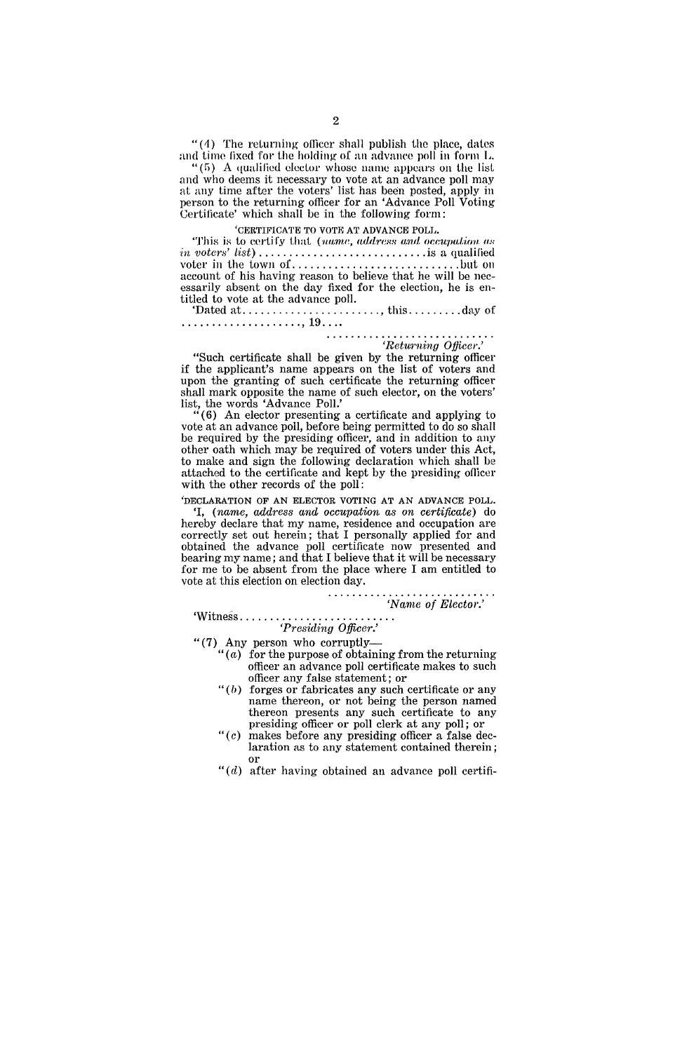" $(4)$  The returning officer shall publish the place, dates and time fixed for the holding of an advance poll in form L.

" $(5)$  A qualified elector whose name appears on the list and who deems it necessary to vote at an advance poll may at any time after the voters' list has been posted, apply in person to the returning officer for an 'Advance Poll Voting Certificate' which shall be in the following form:

## 'CERTIFICATE TO VOTE AT ADVANCE POLL.

'This is to certify that (name, address and occupation as *in voters' list)* ............................ is a qualified voter in the town of ............................ but on account of his having reason to believe that he will be necessarily absent on the day fixed for the election, he is entitled to vote at the advance poll.

'Dated at ....................... , this ......... dny of .................... ,19 ... .

verturing *Officer.*<br>'Returning *Officer*.' "Such certificate shall be given by the returning officer if the applicant's name appears on the list of voters and upon the granting of such certificate the returning officer shall mark opposite the name of such elector, on the voters' list, the words 'Advance Poll.'

 $(6)$  An elector presenting a certificate and applying to vote at an advance poll, before being permitted to do so shall be required by the presiding officer, and in addition to any other oath which may be required of voters under this Act, to make and sign the following declaration which shall be attached to the certificate and kept by the presiding officer with the other records of the poll:

'DECLARATION OF AN ELECTOR VOTING AT AN ADVANCE POLL.

'I, *(name, address and occupation as on certificate)* do hereby declare that my name, residence and occupation are correctly set out herein; that I personally applied for and obtained the advance poll certificate now presented and bearing my name; and that I believe that it will be necessary for me to be absent from the place where I am entitled to vote at this election on election day.

#### . . . . . . . . . . *'Nanw* of *Elector.'*

'Witness ......................... . *'Presidhtg Officer.'* 

"(7) Any person who corruptly-

- " $(a)$  for the purpose of obtaining from the returning officer an advance poll certificate makes to such officer any false statement; or
- " $(b)$  forges or fabricates any such certificate or any name thereon, or not being the person named thereon presents any such certificate to any presiding officer or poll clerk at any poll; or
- " $(c)$  makes before any presiding officer a false declaration as to any statement contained therein; or
- " $(d)$  after having obtained an advance poll certifi-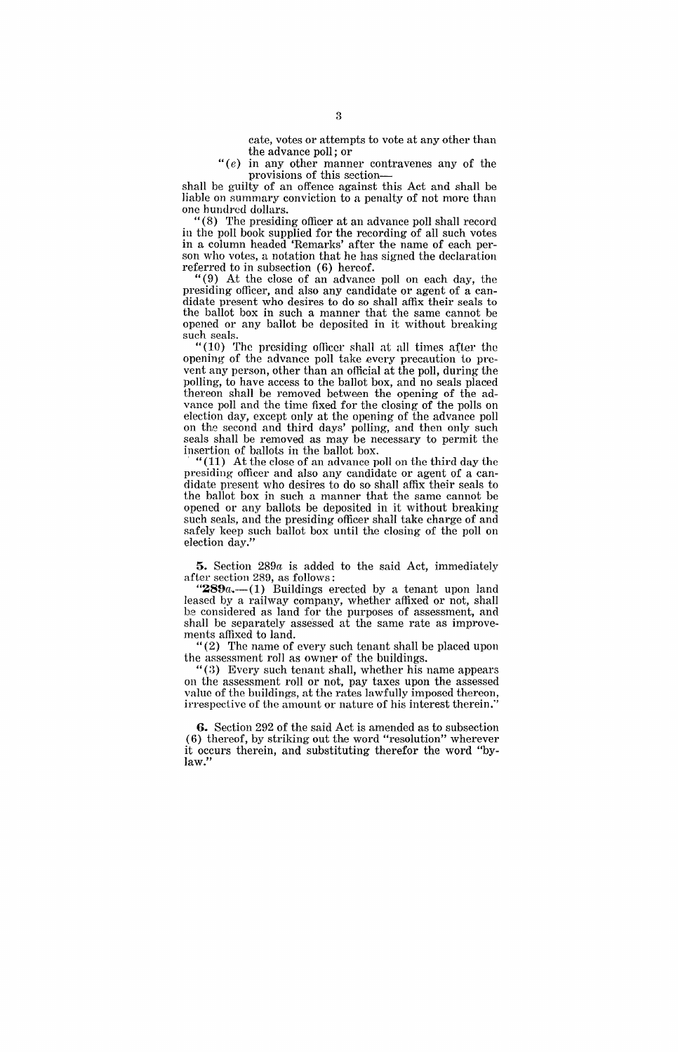cate, votes or attempts to vote at any other than the advance poll; or

" $(e)$  in any other manner contravenes any of the provisions of this section-

shall be guilty of an offence against this Act and shall be liable on summary conviction to a penalty of not more than one hundrcd dollars.

"(8) The presiding officer at an advance poll shall record in the poll book supplied for the recording of all such votes in a column headed 'Remarks' after the name of each person who votes, a notation that he has signed the declaration referred to in subsection (6) hereof.

"(9) At the close of an advance poll on each day, the presiding officer, and also any candidate or agent of a candidate present who desires to do so shall affix their seals to the ballot box in such a manner that the same cannot he opened or any ballot be deposited in it without breaking such seals.

"(10) The presiding officer shall at all times after the opening of the advance poll take every precaution to prevent any person, other than an official at the poll, during the polling, to have access to the ballot box, and no seals placed thereon shall be removed between the opening of the advance poll and the time fixed for the closing of the polls on election day, except only at the opening of the advance poll on the second and third days' polling, and then only such seals shall be removed as may be necessary to permit the insertion of ballots in the ballot box.

"(11) At the close of an advance poll on the third day the presiding officer and also any candidate or agent of a candidate present who desires to do so shall affix their seals to the ballot box in such a manner that the same cannot be opened or any ballots be deposited in it without breaking such seals, and the presiding officer shall take charge of and safely keep such ballot box until the closing of the poll on election day."

**5.** Section *289a* is added to the said Act, immediately after section 289, as follows:

" $289a$ .  $-(1)$  Buildings erected by a tenant upon land leased by a railway company, whether affixed or not, shall he considered as land for the purposes of assessment, and shall be separately assessed at the same rate as improvements affixed to land.

"(2) The name of every such tenant shall be placed upon the assessment roll as owner of the buildings.

 $\cdot$  (3) Every such tenant shall, whether his name appears on the assessment roll or not, pay taxes upon the assessed on the assessment for the rates lawfully imposed thereon, irrespective of the amount or nature of his interest therein:'

**6.** Section 292 of the said Act is amended as to subsection (6) thereof, by striking out the word "resolution" wherever it occurs therein, and substituting therefor the word "bylaw."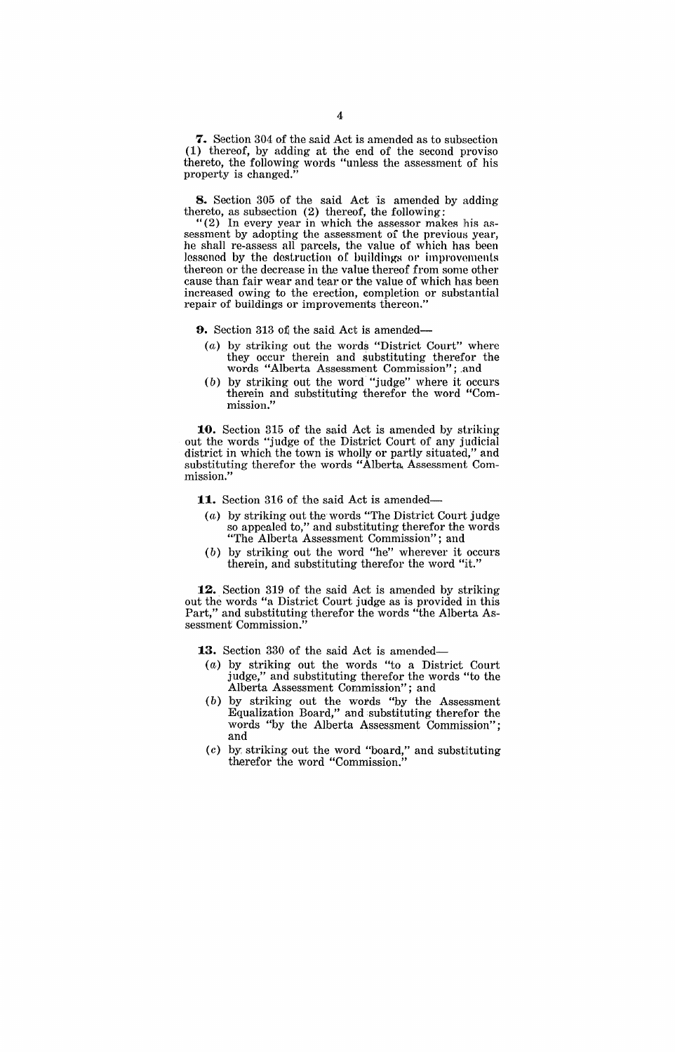7. Section 304 of the said Act is amended as to subsection (1) thereof, by adding at the end of the second proviso thereto, the following words "unless the assessment of his property is changed.

**8.** Section 305 of the said Act is amended by adding thereto, as subsection (2) thereof, the following:

"(2) In every year in which the assessor makes his assessment by adopting the assessment of the previous year, he shall re-assess all parcels, the value of which has been lessened by the destruction of buildings or improvements thereon or the decrease in the value thereof from some other cause than fair wear and tear or the value of which has been increased owing to the erection, eompletion or substantial repair of buildings or improvements thereon.'

**9.** Section 313 of the said Act is amended-

- (a) by striking out the words "District Court" where they occur therein and substituting therefor the words "Alberta Assessment Commission"; .and
- (b) by striking out the word "judge" where it occurs therein and substituting therefor the word "Commission."

**10.** Section 315 of the said Act is amended by striking out the words "judge of the District Court of any judicial district in which the town is wholly or partly situated," and substituting therefor the words "Alberta. Assessment Commission,"

**11.** Section 316 of the said Act is amended-

- (a) by striking out the words "The District Court judge so appealed to," and substituting therefor the words "The Alberta Assessment Commission"; and
- (b) by striking out the word "he" wherever it occurs therein, and substituting therefor the word "it."

**12.** Section 319 of the said Act is amended by striking out the words "a District Court judge as is provided in this Part," and substituting therefor the words "the Alberta Assessment Commission.

**13.** Section 330 of the said Act is amended-

- (a) by striking out the words "to a District Court judge," and substituting therefor the words "to the Alberta Assessment Commission"; and
- $(b)$  by striking out the words "by the Assessment" Equalization Board," and substituting therefor the words "by the Alberta Assessment Commission"; and
- (c) by, striking out the word "board," and substituting therefor the word "Commission."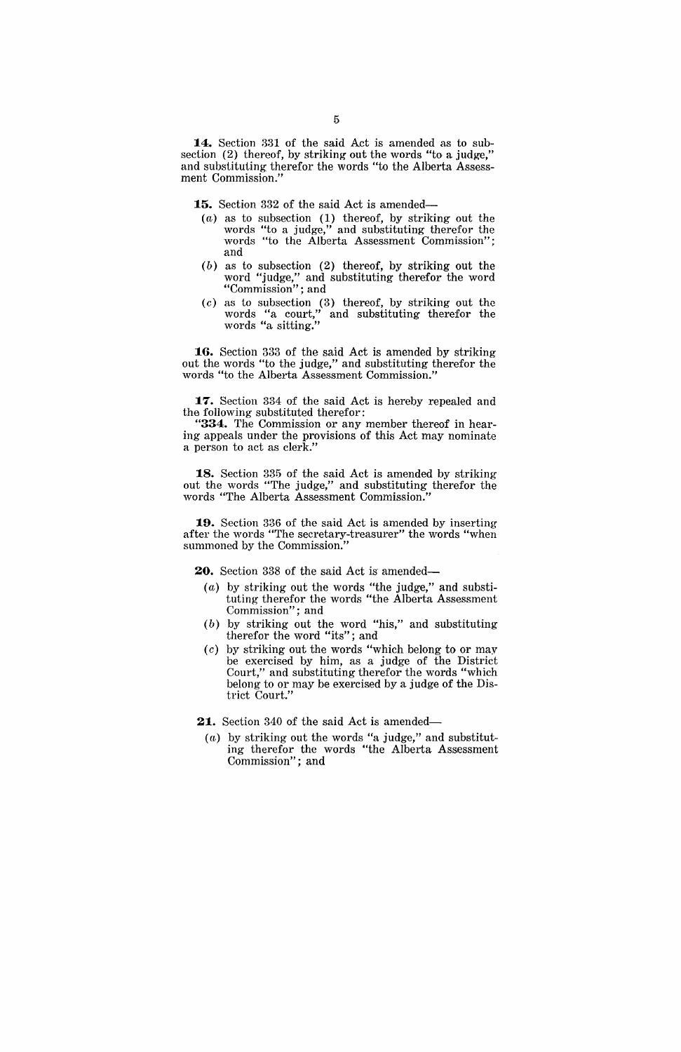14. Section 331 of the said Act is amended as to subsection (2) thereof, by striking out the words "to a judge," and substituting therefor the words "to the Alberta Assessment Commission."

15. Section 332 of the said Act is amended-

- (a) as to subsection (1) thereof, by striking out the words "to a judge," and substituting therefor the words "to the Alberta Assessment Commission"; and
- (b) as to subsection (2) thereof, by striking out the word "judge," and substituting therefor the word "Commission" ; and
- (c) as to subsection (3) thereof, by striking out the words "a court," and substituting therefor the words "a sitting."

**:16.** Section 333 of the said Act is amended by striking out the words "to the judge," and substituting therefor the words "to the Alberta Assessment Commission."

**:17.** Section 334 of the said Act is hereby repealed and the following substituted therefor:

**"334.** The Commission or any member thereof in hearing appeals under the provisions of this Act may nominate a person to act as clerk."

**:18.** Section 335 of the said Act is amended by striking out the words "The judge," and substituting therefor the words "The Alberta Assessment Commission."

**:19.** Section 336 of the said Act is amended by inserting after the words "The secretary-treasurer" the words "when summoned by the Commission."

20. Section 338 of the said Act is amended-

- (a) by striking out the words "the judge," and substituting therefor the words "the Alberta Assessment Commission"; and
- (b) by striking out the word "his," and substituting therefor the word "its"; and
- $(c)$  by striking out the words "which belong to or may be exercised by him, as a judge of the District Court," and substituting therefor the words "which belong to or may be exercised by a judge of the District Court."
- **21.** Section 340 of the said Act is amended-
	- (a) by striking out the words "a judge," and substituting therefor the words "the Alberta Assessment Commission"; and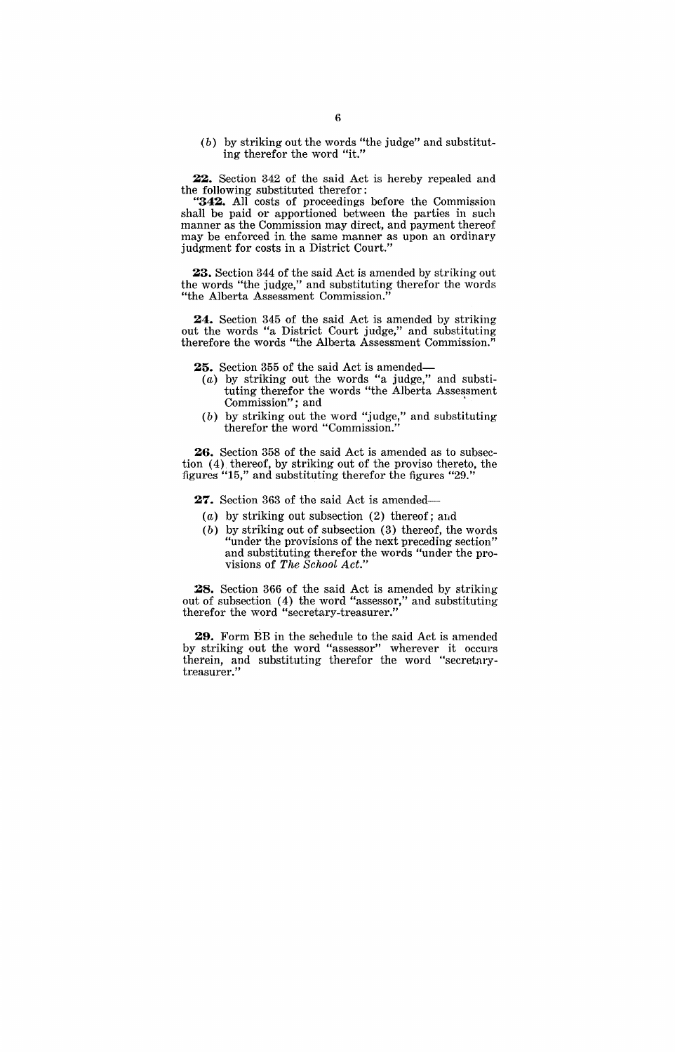(b) by striking out the words "the judge" and substituting therefor the word "it."

22. Section 342 of the said Act is hereby repealed and the following substituted therefor:

**"342.** All costs of proceedings before the Commission shall be paid or apportioned between the parties in such manner as the Commission may direct, and payment thereof may be enforced in the same manner as upon an ordinary judgment for costs in a District Court."

23. Section 344 of the said Act is amended by striking out the words "the judge," and substituting therefor the words "the Alberta Assessment Commission."

**24.** Section 345 of the said Act is amended by striking out the words "a District Court judge," and substituting therefore the words "the Alberta Assessment Commission."

**25.** Section 355 of the said Act is amended-

- (a) by striking out the words "a judge," and substituting therefor the words "the Alberta Assessment Commission"; and
- (b) by striking out the word "judge," and substituting therefor the word "Commission."

**26.** Section 358 of the said Act is amended as to subsection (4) thereof, by striking out of the proviso thereto, the figures "15," and substituting therefor the figures "29."

27. Section 363 of the said Act is amended-

- (a) by striking out subsection  $(2)$  thereof; and
- (b) by striking out of subsection (3) thereof, the words "under the provisions of the next preceding section" and substituting therefor the words "under the provisions of *The School Act."*

**28.** Section 366 of the said Act is amended by striking out of subsection (4) the word "assessor," and substituting therefor the word "secretary-treasurer."

**29.** Form BB in the schedule to the said Act is amended by striking out the word "assessor" wherever it occurs therein, and substituting therefor the word "secretarytreasurer."